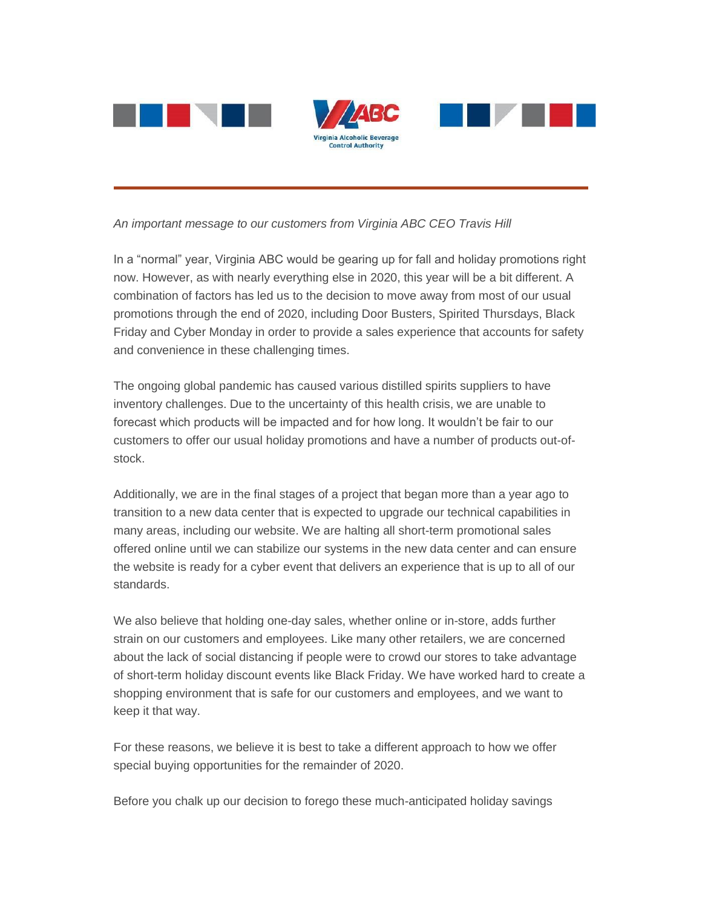

*An important message to our customers from Virginia ABC CEO Travis Hill*

In a "normal" year, Virginia ABC would be gearing up for fall and holiday promotions right now. However, as with nearly everything else in 2020, this year will be a bit different. A combination of factors has led us to the decision to move away from most of our usual promotions through the end of 2020, including Door Busters, Spirited Thursdays, Black Friday and Cyber Monday in order to provide a sales experience that accounts for safety and convenience in these challenging times.

The ongoing global pandemic has caused various distilled spirits suppliers to have inventory challenges. Due to the uncertainty of this health crisis, we are unable to forecast which products will be impacted and for how long. It wouldn't be fair to our customers to offer our usual holiday promotions and have a number of products out-ofstock.

Additionally, we are in the final stages of a project that began more than a year ago to transition to a new data center that is expected to upgrade our technical capabilities in many areas, including our website. We are halting all short-term promotional sales offered online until we can stabilize our systems in the new data center and can ensure the website is ready for a cyber event that delivers an experience that is up to all of our standards.

We also believe that holding one-day sales, whether online or in-store, adds further strain on our customers and employees. Like many other retailers, we are concerned about the lack of social distancing if people were to crowd our stores to take advantage of short-term holiday discount events like Black Friday. We have worked hard to create a shopping environment that is safe for our customers and employees, and we want to keep it that way.

For these reasons, we believe it is best to take a different approach to how we offer special buying opportunities for the remainder of 2020.

Before you chalk up our decision to forego these much-anticipated holiday savings